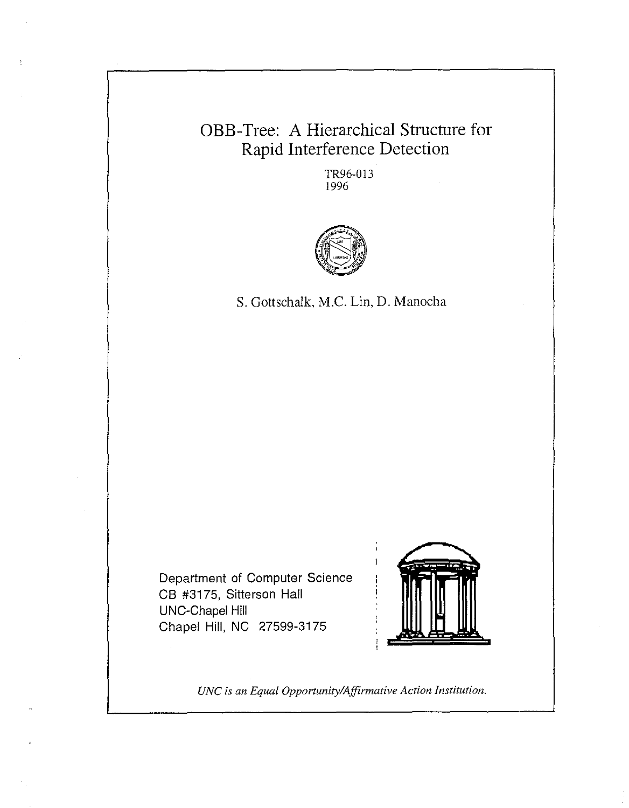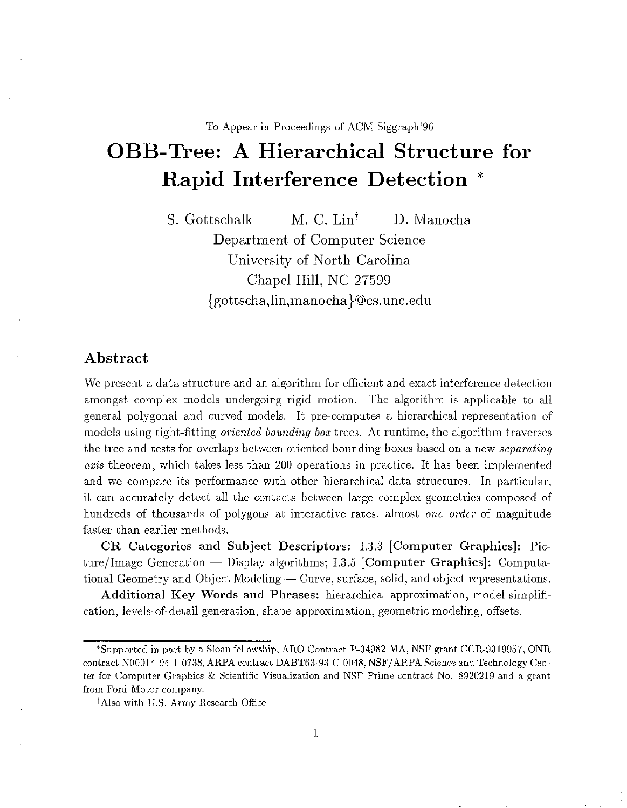To Appear in Proceedings of ACM Siggraph'96

# **OBB-Tree: A Hierarchical Structure for Rapid Interference Detection** \*

S. Gottschalk M. C. Lin<sup>t</sup> D. Manocha Department of Computer Science University of North Carolina Chapel Hill, NC 27599 {gottscha,lin,manocha }©cs. unc.edu

#### **Abstract**

We present a data structure and an algorithm for efficient and exact interference detection amongst complex models undergoing rigid motion. The algorithm is applicable to all general polygonal and curved models. It pre-computes a hierarchical representation of models using tight-fitting *oriented bounding box* trees. At runtime, the algorithm traverses the tree and tests for overlaps between oriented bounding boxes based on a new *separating axis* theorem, which takes less than 200 operations in practice. It has been implemented and we compare its performance with other hierarchical data structures. In particular, it can accurately detect all the contacts between large complex geometries composed of hundreds of thousands of polygons at interactive rates, almost *one order* of magnitude faster than earlier methods.

CR Categories and Subject Descriptors: I.3.3 [Computer Graphics]: Picture/Image Generation — Display algorithms; I.3.5 [Computer Graphics]: Computational Geometry and Object Modeling — Curve, surface, solid, and object representations.

Additional Key Words and Phrases: hierarchical approximation, model simplification, levels-of-detail generation, shape approximation, geometric modeling, offsets.

<sup>•</sup>supported in part by a Sloan fellowship, ARO Contract P-34982-MA, NSF grant CCR-9319957, ONR contract N00014-94-l-0738, ARPA contract DABT63-93-C-0048, NSF/ ARPA Science and Technology Center for Computer Graphics & Scientific Visualization and NSF Prime contract No. 8920219 and a grant **from Ford Motor company.** 

t Also with U.S. Army Research Office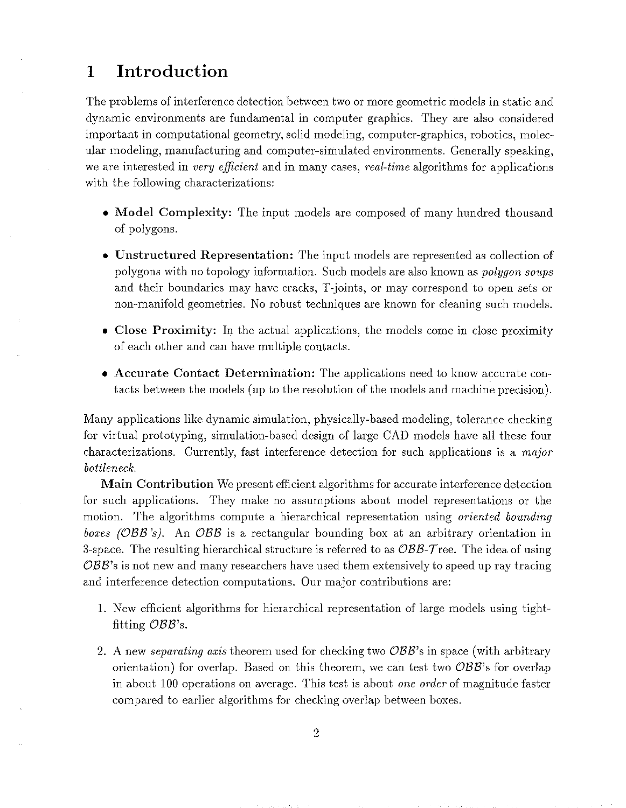# **1 Introduction**

The problems of interference detection between two or more geometric models in static and dynamic environments are fundamental in computer graphics. They are also considered important in computational geometry, solid modeling, computer-graphics, robotics, molecular modeling, manufacturing and computer-simulated environments. Generally speaking, we are interested in *very efficient* and in many cases, *real-time* algorithms for applications with the following characterizations:

- **Model Complexity:** The input models are composed of many hundred thousand of polygons.
- **Unstructured Representation:** The input models are represented as collection of polygons with no topology information. Such models are also known as *polygon soups*  and their boundaries may have cracks, T-joints, or may correspond to open sets or non-manifold geometries. No robust techniques are known for cleaning such models.
- **Close Proximity:** In the actual applications, the models come in close proximity of each other and can have multiple contacts.
- **Accurate Contact Determination:** The applications need to know accurate contacts between the models (up to the resolution of the models and machine precision).

Many applications like dynamic simulation, physically-based modeling, tolerance checking for virtual prototyping, simulation-based design of large CAD models have all these four characterizations. Currently, fast interference detection for such applications is a *major bottleneck.* 

**Main Contribution** We present efficient algorithms for accurate interference detection for such applications. They make no assumptions about model representations or the motion. The algorithms compute a hierarchical representation using *oriented bounding boxes (OBB 's).* An *OBB* is a rectangular bounding box at an arbitrary orientation in 3-space. The resulting hierarchical structure is referred to as *OBB-T* ree. The idea of using *OBB's* is not new and many researchers have used them extensively to speed up ray tracing and interference detection computations. Our major contributions are:

- 1. New efficient algorithms for hierarchical representation of large models using tightfitting *OBB's.*
- 2. A new *separating axis* theorem used for checking two *OBB's* in space (with arbitrary orientation) for overlap. Based on this theorem, we can test two *OBB's* for overlap in about 100 operations on average. This test is about *one order* of magnitude faster compared to earlier algorithms for checking overlap between boxes.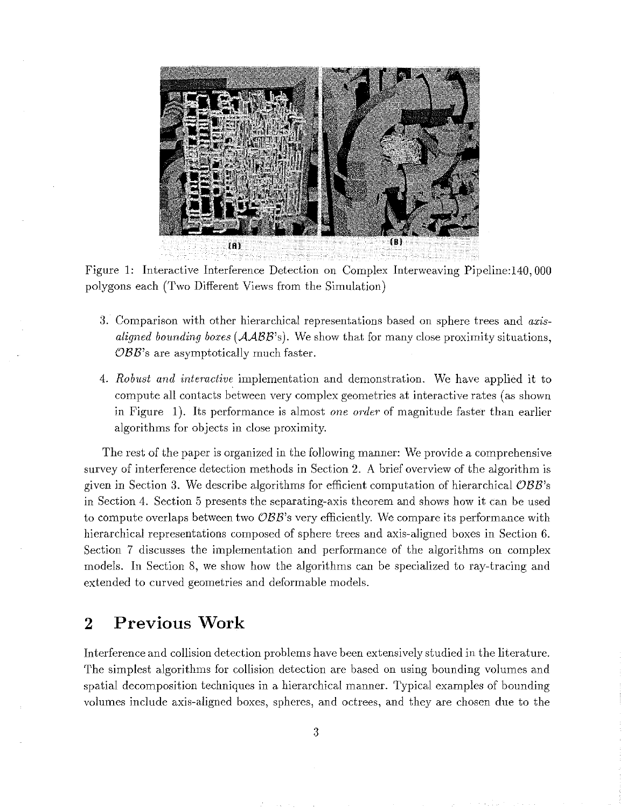

Figure 1: Interactive Interference Detection on Complex Interweaving Pipeline: 140, 000 polygons each (Two Different Views from the Simulation)

- 3. Comparison with other hierarchical representations based on sphere trees and *axisaligned bounding boxes (AABB's).* We show that for many close proximity situations, *OBB's* are asymptotically much faster.
- 4. *Robust and interactive* implementation and demonstration. We have applied it to compute ail contacts between very complex geometries at interactive rates (as shown in Figure 1). Its performance is almost *one order* of magnitude faster than earlier algorithms for objects in close proximity.

**The** rest of the paper is organized in the following manner: We provide a comprehensive survey of interference detection methods in Section 2. A brief overview of the algorithm is given in Section 3. We describe algorithms for efficient computation of hierarchical *OBB's*  in Section 4. Section 5 presents the separating-axis theorem and shows how it can be used to compute overlaps between two *OBB's* very efficiently. We compare its performance with hierarchical representations composed of sphere trees and axis-aligned boxes in Section 6. Section 7 discusses the implementation and performance of the algorithms on complex models. **In** Section 8, we show how the algorithms can be specialized to ray-tracing and extended to curved geometries and deformable models.

## **2 Previous Work**

Interference and collision detection problems have been extensively studied in the literature. The simplest algorithms for collision detection are based on using bounding volumes and spatial decomposition techniques in a hierarchical manner. Typical examples of bounding volumes include axis-aligned boxes, spheres, and octrees, and they are chosen due to the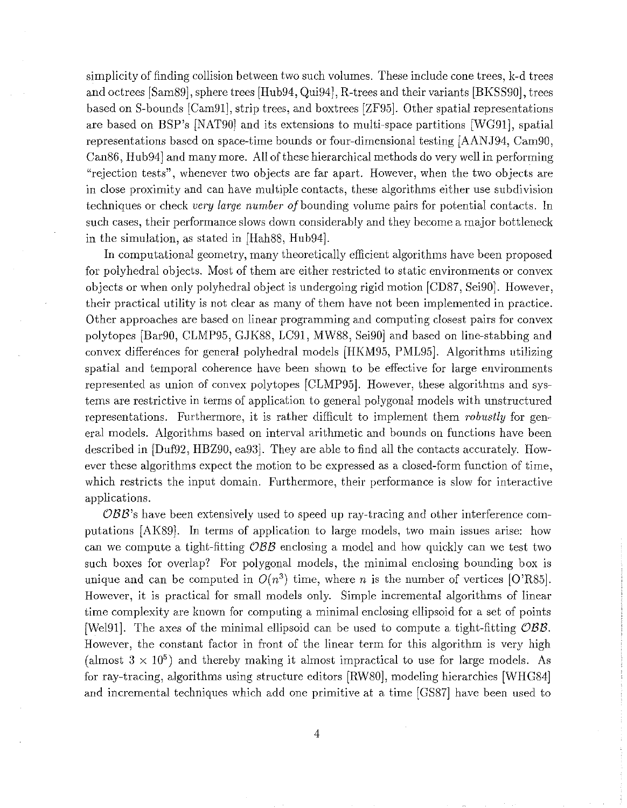simplicity of finding collision between two such volumes. These include cone trees, k-d trees and octrees [Sam89], sphere trees [Hub94, Qui94], R-trees and their variants [BKSS90], trees based on S-bounds [Cam91], strip trees, and boxtrees [ZF95]. Other spatial representations are based on BSP's [NAT90] and its extensions to multi-space partitions [WG91], spatial representations based on space-time bounds or four-dimensional testing [AANJ94, Cam90, Can86, Hub94] and many more. All of these hierarchical methods do very well in performing "rejection tests", whenever two objects are far apart. However, when the two objects are in close proximity and can have multiple contacts, these algorithms either use subdivision techniques or check *very large number of* bounding volume pairs for potential contacts. In such cases, their performance slows down considerably and they become a major bottleneck in the simulation, as stated in [Hah88, Hub94].

In computational geometry, many theoretically efficient algorithms have been proposed for polyhedral objects. Most of them are either restricted to static environments or convex objects or when only polyhedral object is undergoing rigid motion [CD87, Sei90]. However, their practical utility is not clear as many of them have not been implemented in practice. Other approaches are based on linear programming and computing closest pairs for convex polytopes [Bar90, CLMP95, GJK88, LC91, MW88, Sei90] and based on line-stabbing and convex differences for general polyhedral models [HKM95, PML95]. Algorithms utilizing spatial and temporal coherence have been shown to be effective for large environments represented as union of convex polytopes [CLMP95]. However, these algorithms and systems are restrictive in terms of application to general polygonal models with unstructured representations. Furthermore, it is rather difficult to implement them *robustly* for general models. Algorithms based on interval arithmetic and bounds on functions have been described in [Duf92, HBZ90, ea93]. They are able to find all the contacts accurately. However these algorithms expect the motion to be expressed as a closed-form function of time, which restricts the input domain. Furthermore, their performance is slow for interactive applications.

*OBB*'s have been extensively used to speed up ray-tracing and other interference computations [AK89]. In terms of application to large models, two main issues arise: how can we compute a tight-fitting *OBB* enclosing a model and how quickly can we test two such boxes for overlap? For polygonal models, the minimal enclosing bounding box is unique and can be computed in  $O(n^3)$  time, where *n* is the number of vertices [O'R85]. However, it is practical for small models only. Simple incremental algorithms of linear time complexity are known for computing a minimal enclosing ellipsoid for a set of points [Wel91]. The axes of the minimal ellipsoid can be used to compute a tight-fitting *OBB.*  However, the constant factor in front of the linear term for this algorithm is very high (almost  $3 \times 10^5$ ) and thereby making it almost impractical to use for large models. As for ray-tracing, algorithms using structure editors [RWSO], modeling hierarchies [WHG84] and incremental techniques which add one primitive at a time [GS87] have been used to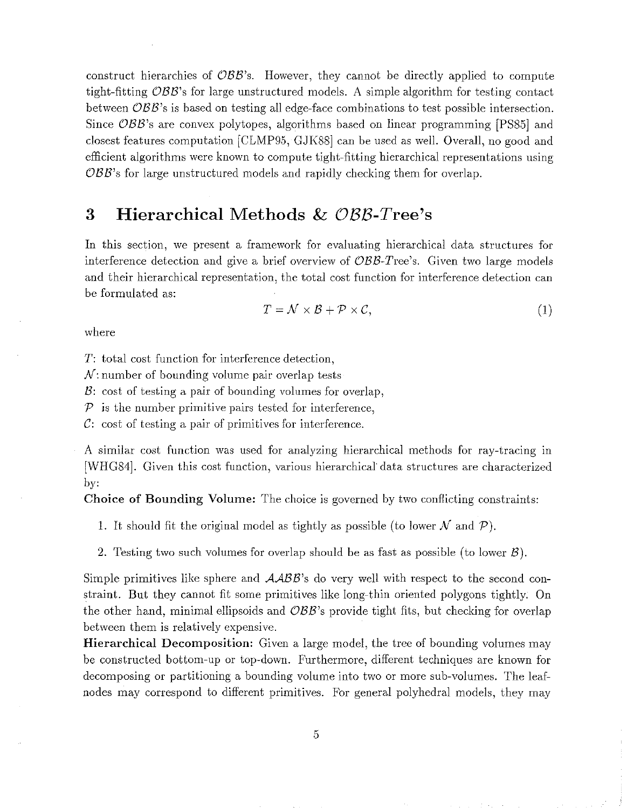construct hierarchies of *OBB's.* However, they cannot be directly applied to compute tight-fitting *OBB's* for large unstructured models. A simple algorithm for testing contact between *OBB's* is based on testing all edge-face combinations to test possible intersection. Since *OBB's* are convex polytopes, algorithms based on linear programming [PS85] and closest features computation [CLMP95, GJK88] can be used as well. Overall, no good and efficient algorithms were known to compute tight-fitting hierarchical representations using *OBB's* for large unstructured models and rapidly checking them for overlap.

## **3 Hierarchical Methods & OBB-Tree's**

In this section, we present a framework for evaluating hierarchical data structures for interference detection and give a brief overview of *OBB-Tree's.* Given two large models and their hierarchical representation, the total cost function for interference detection can be formulated as:

$$
T = \mathcal{N} \times \mathcal{B} + \mathcal{P} \times \mathcal{C},\tag{1}
$$

where

T: total cost function for interference detection,

 $\mathcal{N}$ : number of bounding volume pair overlap tests

 $\beta$ : cost of testing a pair of bounding volumes for overlap,

 $\mathcal P$  is the number primitive pairs tested for interference,

 $C:$  cost of testing a pair of primitives for interference.

A similar cost function was used for analyzing hierarchical methods for ray-tracing in [WHG84]. Given this cost function, various hierarchical· data structures are characterized by:

**Choice of Bounding Volume:** The choice is governed by two conflicting constraints:

1. It should fit the original model as tightly as possible (to lower  $\mathcal N$  and  $\mathcal P$ ).

2. Testing two such volumes for overlap should be as fast as possible (to lower B).

Simple primitives like sphere and *AABB*'s do very well with respect to the second constraint. But they cannot fit some primitives like long-thin oriented polygons tightly. On the other hand, minimal ellipsoids and *OBB's* provide tight fits, but checking for overlap between them is relatively expensive.

**Hierarchical Decomposition:** Given a large model, the tree of bounding volumes may be constructed bottom-up or top-down. Furthermore, different techniques are known for decomposing or partitioning a bounding volume into two or more sub-volumes. The leafnodes may correspond to different primitives. For general polyhedral models, they may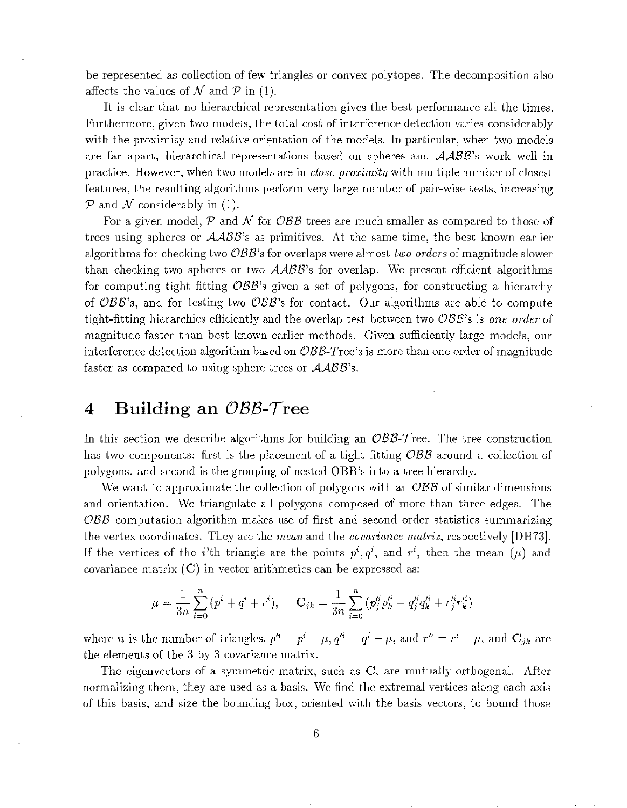be represented as collection of few triangles or convex polytopes. The decomposition also affects the values of  $N$  and  $P$  in (1).

It is clear that no hierarchical representation gives the best performance all the times. Furthermore, given two models, the total cost of interference detection varies considerably with the proximity and relative orientation of the models. In particular, when two models are far apart, hierarchical representations based on spheres and *AABB's* work well in practice. However, when two models are in *close proximity* with multiple number of closest features, the resulting algorithms perform very large number of pair-wise tests, increasing  $\mathcal P$  and  $\mathcal N$  considerably in (1).

For a given model, *P* and *N* for *OBB* trees are much smaller as compared to those of trees using spheres or *AABB's* as primitives. At the same time, the best known earlier algorithms for checking two *OBB's* for overlaps were almost *two orders* of magnitude slower than checking two spheres or two *AABB's* for overlap. We present efficient algorithms for computing tight fitting *OBB's* given a set of polygons, for constructing a hierarchy of *OBB's,* and for testing two *OBB's* for contact. Our algorithms are able to compute tight-fitting hierarchies efficiently and the overlap test between two *OBB's* is *one order* of magnitude faster than best known earlier methods. Given sufficiently large models, our interference detection algorithm based on *OBB-*Tree's is more than one order of magnitude faster as compared to using sphere trees or *AABB's.* 

#### **4** Building an  $\mathcal{OBB}\text{-}\mathcal{T}$ ree

In this section we describe algorithms for building an *OBB-*Tree. The tree construction has two components: first is the placement of a tight fitting *OBB* around a collection of polygons, and second is the grouping of nested OBB's into a tree hierarchy.

We want to approximate the collection of polygons with an *OBB* of similar dimensions and orientation. We triangulate all polygons composed of more than three edges. The *OBB* computation algorithm makes use of first and second order statistics summarizing the vertex coordinates. They are the *mean* and the *covariance matrix,* respectively [DH73]. If the vertices of the *i*'th triangle are the points  $p^i, q^i$ , and  $r^i$ , then the mean  $(\mu)$  and covariance matrix  $(C)$  in vector arithmetics can be expressed as:

$$
\mu = \frac{1}{3n} \sum_{i=0}^{n} (p^i + q^i + r^i), \quad \mathbf{C}_{jk} = \frac{1}{3n} \sum_{i=0}^{n} (p_j'^i p_k'^i + q_j'^i q_k'^i + r_j'^i r_k'^i)
$$

where *n* is the number of triangles,  $p^{i} = p^{i} - \mu$ ,  $q^{i} = q^{i} - \mu$ , and  $r'^{i} = r^{i} - \mu$ , and  $C_{ik}$  are the elements of the 3 by 3 covariance matrix.

The eigenvectors of a symmetric matrix, such as C, are mutually orthogonal. After normalizing them, they are used as a basis. We find the extremal vertices along each axis of this basis, and size the bounding box, oriented with the basis vectors, to bound those

6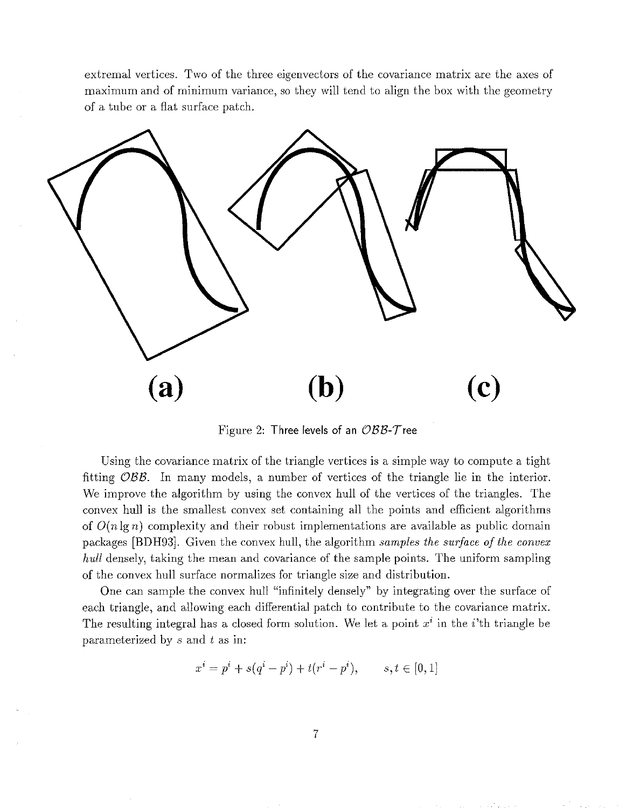extremal vertices. Two of the three eigenvectors of the covariance matrix are the axes of maximum and of minimum variance, so they will tend to align the box with the geometry of a tube or a flat surface patch.



Figure 2: Three levels of an *OBB-Tree* 

Using the covariance matrix of the triangle vertices is a simple way to compute a tight fitting *OBB.* In many models, a number of vertices of the triangle lie in the interior. We improve the algorithm by using the convex hull of the vertices of the triangles. The convex hull is the smallest convex set containing all the points and efficient algorithms of  $O(n \lg n)$  complexity and their robust implementations are available as public domain packages [BD H93}. Given the convex hull, the algorithm *samples the surface of the convex hull* densely, taking the mean and covariance of the sample points. The uniform sampling of the convex hull surface normalizes for triangle size and distribution.

One can sample the convex hull "infinitely densely" by integrating over the surface of each triangle, and allowing each differential patch to contribute to the covariance matrix. The resulting integral has a closed form solution. We let a point  $x^i$  in the *i*'th triangle be parameterized by *s* and *t* as in:

$$
x^{i} = p^{i} + s(q^{i} - p^{i}) + t(r^{i} - p^{i}), \qquad s, t \in [0, 1]
$$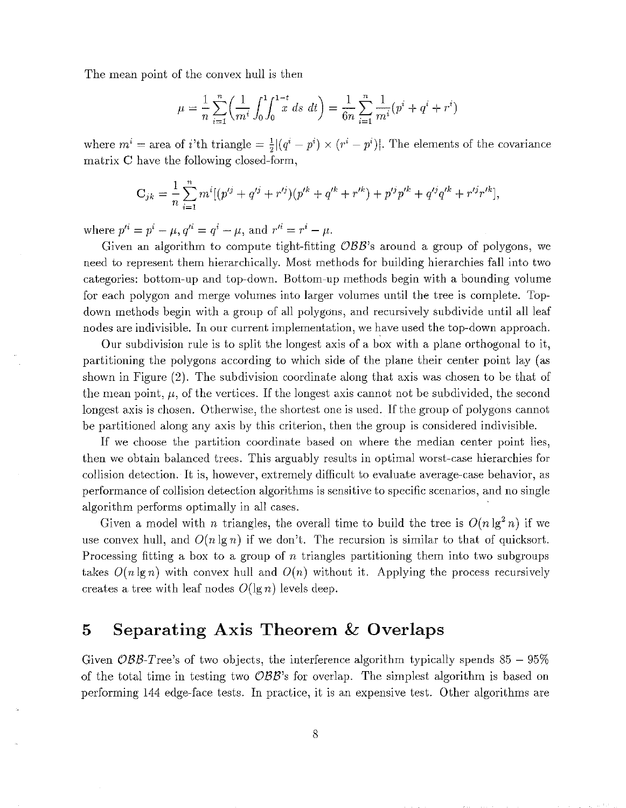The mean point of the convex hull is then

$$
\mu = \frac{1}{n} \sum_{i=1}^{n} \left( \frac{1}{m^i} \int_0^1 \int_0^{1-t} x \, ds \, dt \right) = \frac{1}{6n} \sum_{i=1}^{n} \frac{1}{m^i} (p^i + q^i + r^i)
$$

where  $m^i$  = area of *i*'th triangle =  $\frac{1}{2} |(q^i - p^i) \times (r^i - p^i)|$ . The elements of the covariance matrix C have the following closed-form,

$$
C_{jk} = \frac{1}{n} \sum_{i=1}^{n} m^{i} [(p'^{j} + q'^{j} + r'^{j})(p'^{k} + q'^{k} + r'^{k}) + p'^{j}p'^{k} + q'^{j}q'^{k} + r'^{j}r'^{k}],
$$

where  $p'^i = p^i - \mu$ ,  $q'^i = q^i - \mu$ , and  $r'^i = r^i - \mu$ .

Given an algorithm to compute tight-fitting *OBB's* around a group of polygons, we need to represent them hierarchically. Most methods for building hierarchies fall into two categories: bottom-up and top-down. Bottom-up methods begin with a bounding volume for each polygon and merge volumes into larger volumes until the tree is complete. Topdown methods begin with a group of all polygons, and recursively subdivide until all leaf nodes are indivisible. In our current implementation, we have used the top-down approach.

Our subdivision rule is to split the longest axis of a box with a plane orthogonal to it, partitioning the polygons according to which side of the plane their center point lay (as shown in Figure (2). The subdivision coordinate along that axis was chosen to be that of the mean point,  $\mu$ , of the vertices. If the longest axis cannot not be subdivided, the second longest axis is chosen. Otherwise, the shortest one is used. If the group of polygons cannot be partitioned along any axis by this criterion, then the group is considered indivisible.

If we choose the partition coordinate based on where the median center point lies, then we obtain balanced trees. This arguably results in optimal worst-case hierarchies for collision detection. It is, however, extremely difficult to evaluate average-case behavior, as performance of collision detection algorithms is sensitive to specific scenarios, and no single algorithm performs optimally in all cases.

Given a model with *n* triangles, the overall time to build the tree is  $O(n \lg^2 n)$  if we use convex hull, and  $O(n \lg n)$  if we don't. The recursion is similar to that of quicksort. Processing fitting a box to a group of *n* triangles partitioning them into two subgroups takes  $O(n \lg n)$  with convex hull and  $O(n)$  without it. Applying the process recursively creates a tree with leaf nodes  $O(\lg n)$  levels deep.

#### **5 Separating Axis Theorem & Overlaps**

Given *OBB-Tree's* of two objects, the interference algorithm typically spends  $85 - 95\%$ of the total time in testing two *OBB's* for overlap. The simplest algorithm is based on performing 144 edge-face tests. In practice, it is an expensive test. Other algorithms are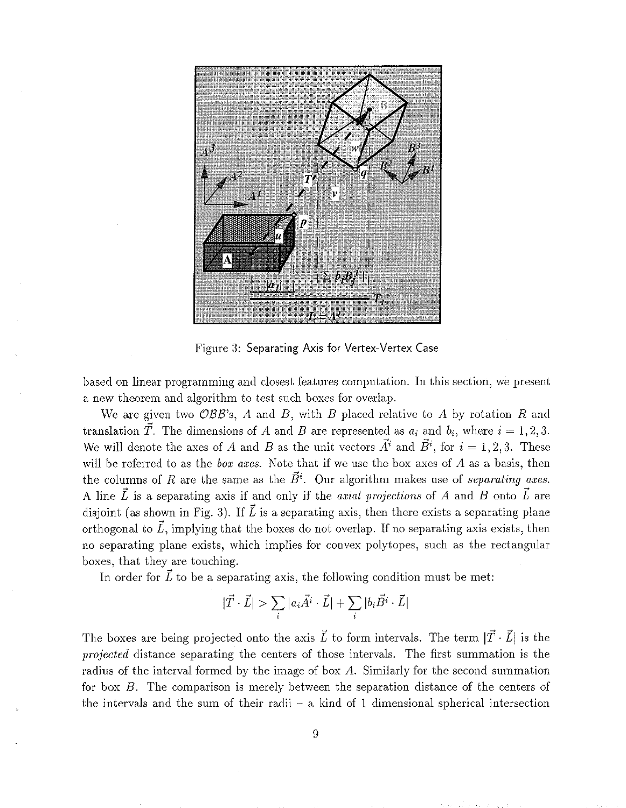

Figure 3: Separating Axis for Vertex-Vertex Case

based on linear programming and closest features computation. In this section, we present a new theorem and algorithm to test such boxes for overlap.

We are given two *OBB's, A* and *B,* with *B* placed relative to *A* by rotation *R* and translation  $\vec{T}$ . The dimensions of *A* and *B* are represented as  $a_i$  and  $b_i$ , where  $i = 1, 2, 3$ . We will denote the axes of A and B as the unit vectors  $\vec{A}^i$  and  $\vec{B}^i$ , for  $i= 1,2,3$ . These will be referred to as the *box axes*. Note that if we use the box axes of  $A$  as a basis, then the columns of R are the same as the  $\vec{B}^i$ . Our algorithm makes use of *separating axes*. A line  $\vec{L}$  is a separating axis if and only if the *axial projections* of A and B onto  $\vec{L}$  are disjoint (as shown in Fig. 3). If  $\vec{L}$  is a separating axis, then there exists a separating plane orthogonal to  $\vec{L}$ , implying that the boxes do not overlap. If no separating axis exists, then no separating plane exists, which implies for convex polytopes, such as the rectangular boxes, that they are touching.

In order for  $\vec{L}$  to be a separating axis, the following condition must be met:

$$
|\vec{T} \cdot \vec{L}| > \sum_{i} |a_i \vec{A}^i \cdot \vec{L}| + \sum_{i} |b_i \vec{B}^i \cdot \vec{L}|
$$

The boxes are being projected onto the axis  $\vec{L}$  to form intervals. The term  $|\vec{T} \cdot \vec{L}|$  is the *projected* distance separating the centers of those intervals. The first summation is the radius of the interval formed by the image of box *A.* Similarly for the second summation for box *B.* The comparison is merely between the separation distance of the centers of the intervals and the sum of their radii - a. kind of 1 dimensional spherical intersection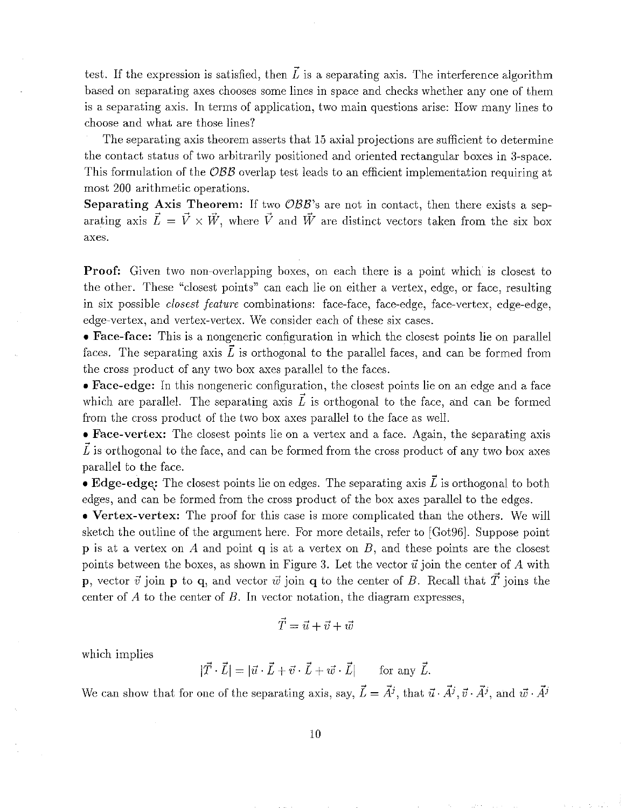test. If the expression is satisfied, then  $\vec{L}$  is a separating axis. The interference algorithm based on separating axes chooses some lines in space and checks whether any one of them is a separating axis. In terms of application, two main questions arise: How many lines to choose and what are those lines?

The separating axis theorem asserts that 15 axial projections are sufficient to determine the contact status of two arbitrarily positioned and oriented rectangular boxes in 3-space. This formulation of the *OBB* overlap test leads to an efficient implementation requiring at most 200 arithmetic operations.

Separating Axis Theorem: If two *OBB's* are not in contact, then there exists a separating axis  $\vec{L} = \vec{V} \times \vec{W}$ , where  $\vec{V}$  and  $\vec{W}$  are distinct vectors taken from the six box axes.

Proof: Given two non-overlapping boxes, on each there is a point which is closest to the other. These "closest points" can each lie on either a vertex, edge, or face, resulting in six possible *closest feature* combinations: face-face, face-edge, face-vertex, edge-edge, edge-vertex, and vertex-vertex. We consider each of these six cases.

• Face-face: This is a nongeneric configuration in which the closest points lie on parallel faces. The separating axis  $\vec{L}$  is orthogonal to the parallel faces, and can be formed from the cross product of any two box axes parallel to the faces.

• Face-edge: In this nongeneric configuration, the closest points lie on an edge and a face which are parallel. The separating axis  $\vec{L}$  is orthogonal to the face, and can be formed from the cross product of the two box axes parallel to the face as well.

o Face-vertex: The closest points lie on a vertex and a face. Again, the separating axis  $\vec{L}$  is orthogonal to the face, and can be formed from the cross product of any two box axes parallel to the face.

 $\bullet$  **Edge-edge:** The closest points lie on edges. The separating axis  $\vec{L}$  is orthogonal to both edges, and can be formed from the cross product of the box axes parallel to the edges.

• Vertex-vertex: The proof for this case is more complicated than the others. We will sketch the outline of the argument here. For more details, refer to [Got96]. Suppose point p is at a vertex on *A* and point q is at a vertex on *B,* and these points are the closest points between the boxes, as shown in Figure 3. Let the vector  $\vec{u}$  join the center of A with p, vector  $\vec{v}$  join p to q, and vector  $\vec{w}$  join q to the center of B. Recall that  $\vec{T}$  joins the center of *A* to the center of *B.* In vector notation, the diagram expresses,

$$
\vec{T} = \vec{u} + \vec{v} + \vec{w}
$$

which implies

$$
|\vec{T} \cdot \vec{L}| = |\vec{u} \cdot \vec{L} + \vec{v} \cdot \vec{L} + \vec{w} \cdot \vec{L}| \quad \text{for any } \vec{L}.
$$

We can show that for one of the separating axis, say,  $\vec{L} = \vec{A}^j$ , that  $\vec{u} \cdot \vec{A}^j$ ,  $\vec{v} \cdot \vec{A}^j$ , and  $\vec{w} \cdot \vec{A}^j$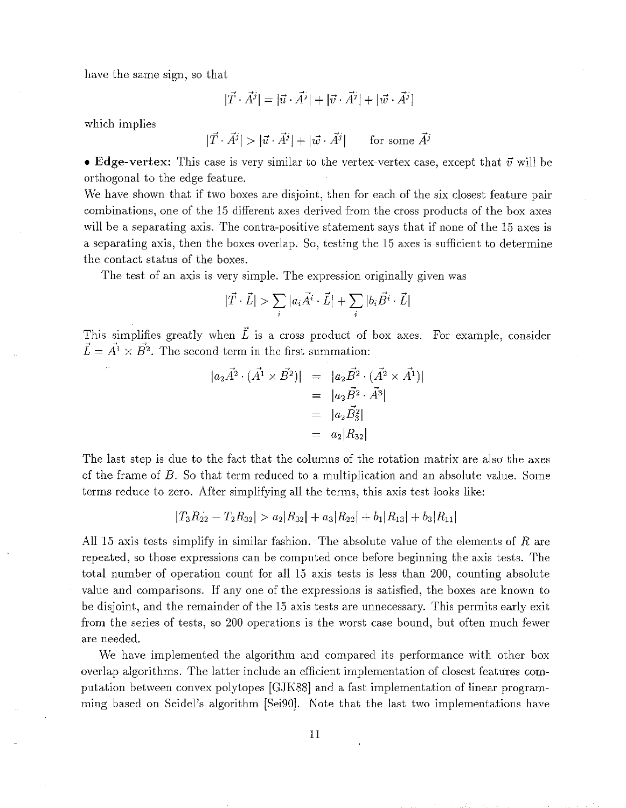have the same sign, so that

$$
|\vec{T} \cdot \vec{A}^j| = |\vec{u} \cdot \vec{A}^j| + |\vec{v} \cdot \vec{A}^j| + |\vec{w} \cdot \vec{A}^j|
$$

which implies

$$
|\vec{T} \cdot \vec{A}^j| > |\vec{u} \cdot \vec{A}^j| + |\vec{w} \cdot \vec{A}^j| \quad \text{for some } \vec{A}^j
$$

• **Edge-vertex:** This case is very similar to the vertex-vertex case, except that  $\vec{v}$  will be orthogonal to the edge feature.

We have shown that if two boxes are disjoint, then for each of the six closest feature pair combinations, one of the 15 different axes derived from the cross products of the box axes will be a separating axis. The contra-positive statement says that if none of the 15 axes is a separating axis, then the boxes overlap. So, testing the 15 axes is sufficient to determine the contact status of the boxes.

The test of an axis is very simple. The expression originally given was

$$
|\vec{T} \cdot \vec{L}| > \sum_{i} |a_i \vec{A}^i \cdot \vec{L}| + \sum_{i} |b_i \vec{B}^i \cdot \vec{L}|
$$

This simplifies greatly when  $\vec{L}$  is a cross product of box axes. For example, consider  $\vec{L} = \vec{A}^1 \times \vec{B}^2$ . The second term in the first summation:

$$
|a_2\vec{A}^2 \cdot (\vec{A}^1 \times \vec{B}^2)| = |a_2\vec{B}^2 \cdot (\vec{A}^2 \times \vec{A}^1)|
$$
  
=  $|a_2\vec{B}^2 \cdot \vec{A}^3|$   
=  $|a_2\vec{B}_3^2|$   
=  $a_2|R_{32}|$ 

The last step is due to the fact that the columns of the rotation matrix are also the axes of the frame of *B.* So that term reduced to a multiplication and an absolute value. Some terms reduce to zero. After simplifying all the terms, this axis test looks like:

$$
|T_3R_{22}-T_2R_{32}|>a_2|R_{32}|+a_3|R_{22}|+b_1|R_{13}|+b_3|R_{11}|
$$

All 15 axis tests simplify in similar fashion. The absolute value of the elements of  $R$  are repeated, so those expressions can be computed once before beginning the axis tests. The total number of operation count for all 15 axis tests is less than 200, counting absolute value and comparisons. If any one of the expressions is satisfied, the boxes are known to be disjoint, and the remainder of the 15 axis tests are unnecessary. This permits early exit from the series of tests, so 200 operations is the worst case bound, but often much fewer are needed.

We have implemented the algorithm and compared its performance with other box overlap algorithms. The latter include an efficient implementation of closest features computation between convex polytopes [GJK88] and a fast implementation of linear programming based on Seidel's algorithm [Sei90]. Note that the last two implementations have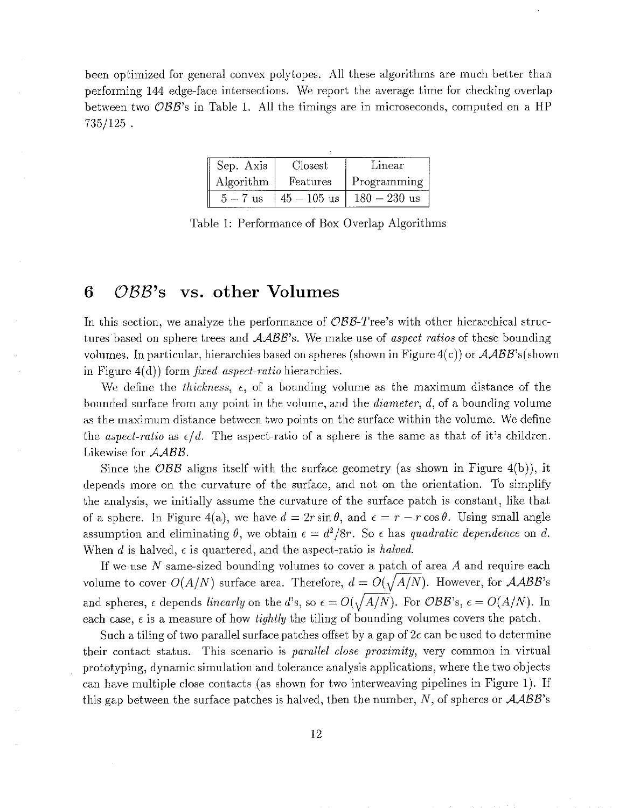been optimized for general convex polytopes. All these algorithms are much better than performing 144 edge-face intersections. We report the average time for checking overlap between two *01313's* in Table 1. All the timings are in microseconds, computed on a HP 735/125 .

| Sep. Axis  | Closest       | Linear       |  |
|------------|---------------|--------------|--|
| Algorithm  | Features      | Programming  |  |
| $5 - 7$ us | $45 - 105$ us | $180-230$ us |  |

Table 1: Performance of Box Overlap Algorithms

#### **6** *OBB's* **vs. other Volumes**

In this section, we analyze the performance of *OBB*-Tree's with other hierarchical structures based on sphere trees and *AA1313's.* We make use of *aspect ratios* of these bounding volumes. In particular, hierarchies based on spheres (shown in Figure 4(c)) or  $\mathcal{AABB}$ 's(shown in Figure 4( d)) form *fixed aspect-ratio* hierarchies.

We define the *thickness, e,* of a bounding volume as the maximum distance of the bounded surface from any point in the volume, and the *diamete7', d,* of a bounding volume as the maximum distance between two points on the surface within the volume. We define the *aspect-ratio* as  $\epsilon/d$ . The aspect-ratio of a sphere is the same as that of it's children. Likewise for  $AABB$ .

Since the  $\mathcal{OBB}$  aligns itself with the surface geometry (as shown in Figure 4(b)), it depends more on the curvature of the surface, and not on the orientation. To simplify the analysis, we initially assume the curvature of the surface patch is constant, like that of a sphere. In Figure 4(a), we have  $d = 2r \sin \theta$ , and  $\epsilon = r - r \cos \theta$ . Using small angle assumption and eliminating  $\theta$ , we obtain  $\epsilon = d^2/8r$ . So  $\epsilon$  has *quadratic dependence* on *d*. When *d* is halved,  $\epsilon$  is quartered, and the aspect-ratio is *halved*.

If we use N same-sized bounding volumes to cover a patch of area A and require each volume to cover  $O(A/N)$  surface area. Therefore,  $d = O(\sqrt{A/N})$ . However, for  $\mathcal{AABB}$ 's and spheres,  $\epsilon$  depends *linearly* on the *d*'s, so  $\epsilon = O(\sqrt{A/N})$ . For *OBB*'s,  $\epsilon = O(A/N)$ . In each case,  $\epsilon$  is a measure of how *tightly* the tiling of bounding volumes covers the patch.

Such a tiling of two parallel surface patches offset by a gap of  $2\epsilon$  can be used to determine their contact status. This scenario is *parallel close proximity,* very common in virtual prototyping, dynamic simulation and tolerance analysis applications, where the two objects can have multiple close contacts (as shown for two interweaving pipelines in Figure 1). If this gap between the surface patches is halved, then the number,  $N$ , of spheres or  $\mathcal{AABB}$ 's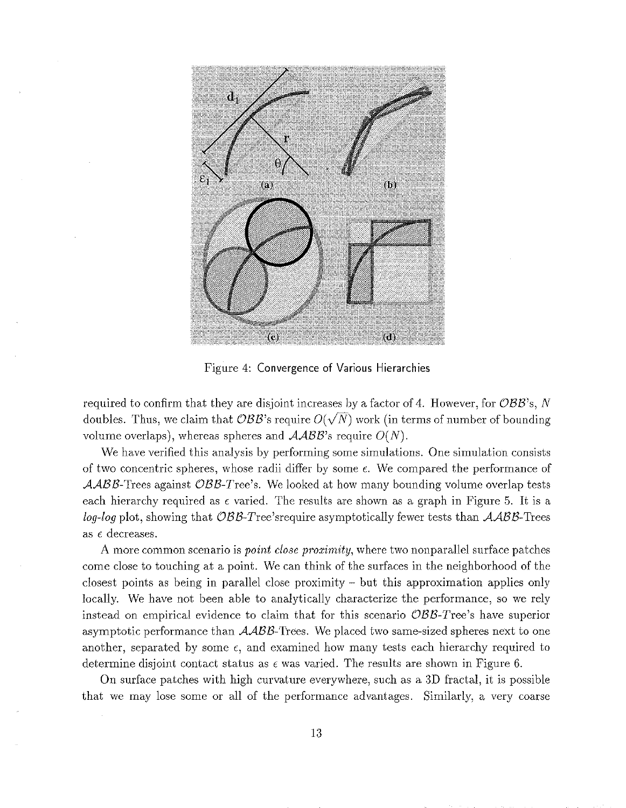

Figure 4: Convergence of Various Hierarchies

required to confirm that they are disjoint increases by a factor of 4. However, for *OBB's, N*  doubles. Thus, we claim that  $\mathcal{O} \mathcal{B} \mathcal{B}$ 's require  $O(\sqrt{N})$  work (in terms of number of bounding volume overlaps), whereas spheres and *AABB's* require *O(N).* 

We have verified this analysis by performing some simulations. One simulation consists of two concentric spheres, whose radii differ by some  $\epsilon$ . We compared the performance of *AABB-*Trees against *OBB-*Tree's. We looked at how many bounding volume overlap tests each hierarchy required as  $\epsilon$  varied. The results are shown as a graph in Figure 5. It is a *log-log* plot, showing that OBB-Tree'srequire asymptotically fewer tests than *AABB-Trees*  as  $\epsilon$  decreases.

A more common scenario is *point close proximity,* where two nonparallel surface patches come close to touching at a point. We can think of the surfaces in the neighborhood of the closest points as being in parallel close proximity - but this approximation applies only locally. We have not been able to analytically characterize the performance, so we rely instead on empirical evidence to claim that for this scenario *OBB-*Tree's have superior asymptotic performance than *AABB-*Trees. We placed two same-sized spheres next to one another, separated by some  $\epsilon$ , and examined how many tests each hierarchy required to determine disjoint contact status as *e* was varied. The results are shown in Figure 6.

On surface patches with high curvature everywhere, such as a 3D fractal, it is possible that we may lose some or all of the performance advantages. Similarly, a very coarse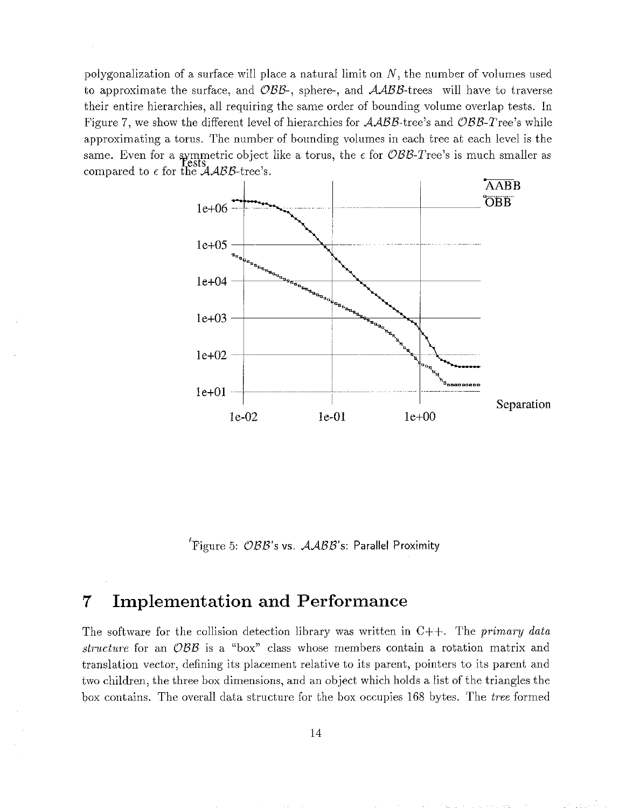polygonalization of a surface will place a natural limit on  $N$ , the number of volumes used to approximate the surface, and *OBB-,* sphere-, and *AABB-trees* will have to traverse their entire hierarchies, all requiring the same order of bounding volume overlap tests. In Figure 7, we show the different level of hierarchies for *AABB-tree's* and *OBB-Tree's* while approximating a torus. The number of bounding volumes in each tree at each level is the same. Even for a symmetric object like a torus, the  $\epsilon$  for *OBB-Tree's* is much smaller as compared to  $\epsilon$  for the  $\mathcal{AABB}$ -tree's.



?Figure 5: *OBB's* vs. *AABB's:* Parallel Proximity

### **7 Implementation and Performance**

The software for the collision detection library was written in C++. The *primary data structure* for an *OBB* is a "box" class whose members contain a rotation matrix and translation vector, defining its placement relative to its parent, pointers to its parent and two children, the three box dimensions, and an object which holds a list of the triangles the box contains. The overall data structure for the box occupies 168 bytes. The *tree* formed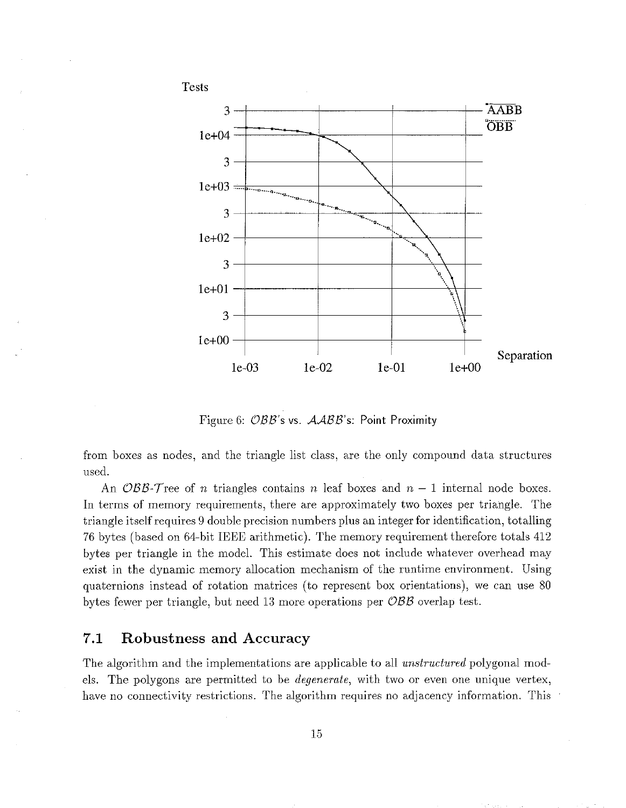

Figure 6: *OBB's* vs. *AABB's:* Point Proximity

from boxes as nodes, and the triangle list class, are the only compound data structures used.

An *OBB-T* ree of *n* triangles contains *n* leaf boxes and  $n - 1$  internal node boxes. In terms of memory requirements, there are approximately two boxes per triangle. The triangle itself requires 9 double precision numbers plus an integer for identification, totalling 76 bytes (based on 64-bit IEEE arithmetic). The memory requirement therefore totals 412 bytes per triangle in the model. This estimate does not include whatever overhead may exist in the dynamic memory allocation mechanism of the runtime environment. Using quaternions instead of rotation matrices (to represent box orientations), we can use 80 bytes fewer per triangle, but need 13 more operations per *OBB* overlap test.

#### **7.1 Robustness and Accuracy**

The algorithm and the implementations are applicable to all *unstructured* polygonal models. The polygons are permitted to be *degenerate,* with two or even one unique vertex, have no connectivity restrictions. The algorithm requires no adjacency information. This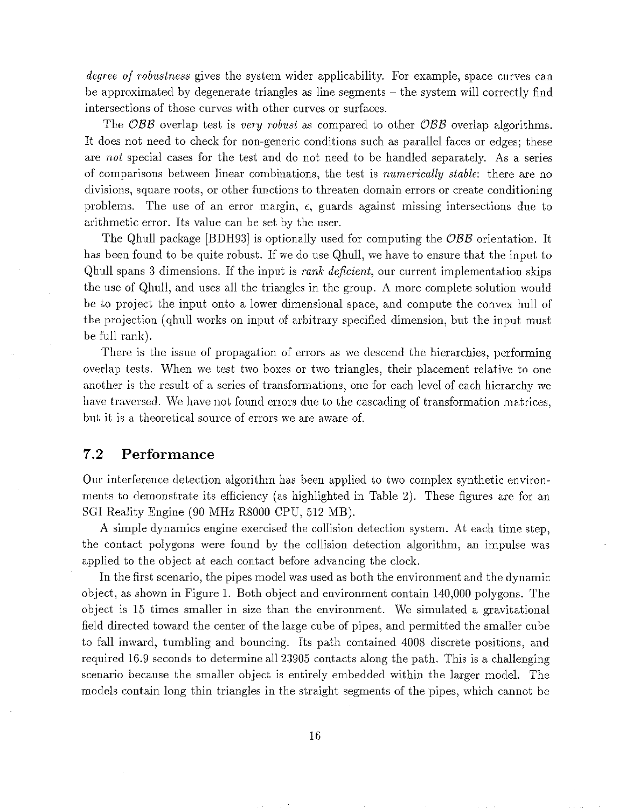*degree of robustness* gives the system wider applicability. For example, space curves can be approximated by degenerate triangles as line segments - the system will correctly find intersections of those curves with other curves or surfaces.

The *OBB* overlap test is *very robust* as compared to other *OBB* overlap algorithms. It does not need to check for non-generic conditions such as parallel faces or edges; these are *not* special cases for the test and do not need to be handled separately. As a series of comparisons between linear combinations, the test is *numerically stable:* there are no divisions, square roots, or other functions to threaten domain errors or create conditioning problems. The use of an error margin,  $\epsilon$ , guards against missing intersections due to arithmetic error. Its value can be set by the user.

The Qhull package [BDH93] is optionally used for computing the *OBB* orientation. It has been found to be quite robust. If we do use Qhull, we have to ensure that the input to Qhull spans 3 dimensions. If the input is *rank deficient,* our current implementation skips the use of Qhull, and uses all the triangles in the group. A more complete solution would be to project the input onto a lower dimensional space, and compute the convex hull of the projection ( qhull works on input of arbitrary specified dimension, but the input must be full rank).

There is the issue of propagation of errors as we descend the hierarchies, performing overlap tests. When we test two boxes or two triangles, their placement relative to one another is the result of a series of transformations, one for each level of each hierarchy we have traversed. We have not found errors due to the cascading of transformation matrices, but it is a theoretical source of errors we are aware of.

#### **7.2 Performance**

Our interference detection algorithm has been applied to two complex synthetic environments to demonstrate its efficiency (as highlighted in Table 2). These figures are for an SGI Reality Engine (90 MHz R8000 CPU, 512 MB).

A simple dynamics engine exercised the collision detection system. At each time step, the contact polygons were found by the collision detection algorithm, an impulse was applied to the object at each contact before advancing the clock.

In the first scenario, the pipes model was used as both the environment and the dynamic object, as shown in Figure 1. Both object and environment contain 140,000 polygons. The object is 15 times smaller in size than the environment. We simulated a gravitational field directed toward the center of the large cube of pipes, and permitted the smaller cube to fall inward, tumbling and bouncing. Its path contained 4008 discrete positions, and required 16.9 seconds to determine all 23905 contacts along the path. This is a challenging scenario because the smaller object is entirely embedded within the larger model. The models contain long thin triangles in the straight segments of the pipes, which cannot be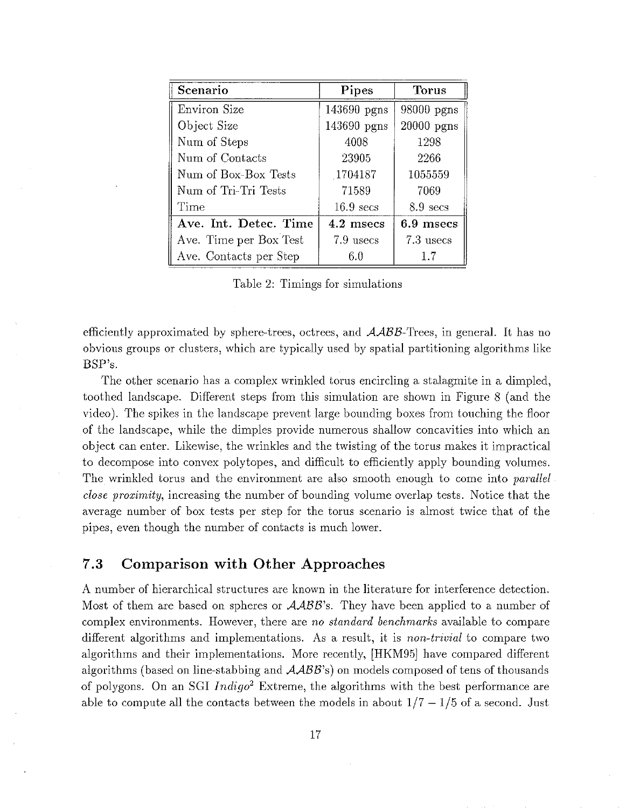| Scenario               | Pipes               | <b>Torus</b>       |
|------------------------|---------------------|--------------------|
| <b>Environ</b> Size    | 143690 pgns         | 98000 pgns         |
| Object Size            | 143690 pgns         | $20000$ pgns       |
| Num of Steps           | 4008                | 1298               |
| Num of Contacts        | 23905               | 2266               |
| Num of Box-Box Tests   | 1704187             | 1055559            |
| Num of Tri-Tri Tests   | 71589               | 7069               |
| Time                   | $16.9 \text{ secs}$ | $8.9 \text{ secs}$ |
| Ave. Int. Detec. Time  | 4.2 msecs           | 6.9 msecs          |
| Ave. Time per Box Test | 7.9 usecs           | 7.3 usecs          |
| Ave. Contacts per Step | 6.0                 | 1.7                |

Table 2: Timings for simulations

efficiently approximated by sphere-trees, octrees, and *AABB-*Trees, in general. It has no obvious groups or clusters, which are typically used by spatial partitioning algorithms like BSP's.

The other scenario has a complex wrinkled torus encircling a stalagmite in a dimpled, toothed landscape. Different steps from this simulation are shown in Figure 8 (and the video). The spikes in the landscape prevent large bounding boxes from touching the floor of the landscape, while the dimples provide numerous shallow concavities into which an object can enter. Likewise, the wrinkles and the twisting of the torus makes it impractical to decompose into convex polytopes, and difficult to efficiently apply bounding volumes. The wrinkled torus and the environment are also smooth enough to come into *parallel close pmximity,* increasing the number of bounding volume overlap tests. Notice that the average number of box tests per step for the torus scenario is almost twice that of the pipes, even though the number of contacts is much lower.

#### **7.3 Comparison with Other Approaches**

A number of hierarchical structures are known in the literature for interference detection. Most of them are based on spheres or *AABB's.* They have been applied to a number of complex environments. However, there are *no standard benchmarks* available to compare different algorithms and implementations. As a result, it is *non-trivial* to compare two algorithms and their implementations. More recently, [HKM95] have compared different algorithms (based on line-stabbing and *AABB's)* on models composed oftens of thousands of polygons. On an SGI *I ndigo<sup>2</sup>*Extreme, the algorithms with the best performance are able to compute all the contacts between the models in about  $1/7-1/5$  of a second. Just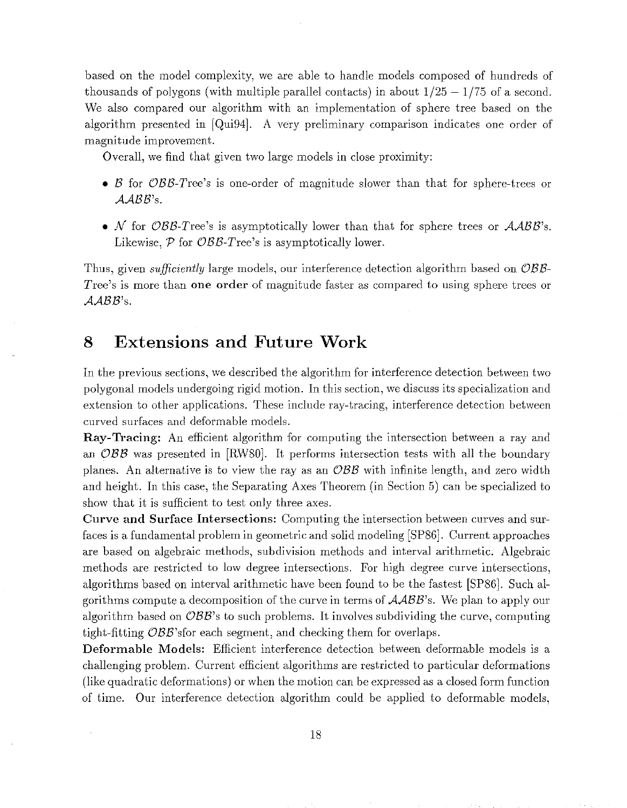based on the model complexity, we are able to handle models composed of hundreds of thousands of polygons (with multiple parallel contacts) in about  $1/25-1/75$  of a second. We also compared our algorithm with an implementation of sphere tree based on the algorithm presented in [Qui94]. A very preliminary comparison indicates one order of magnitude improvement.

Overall, we find that given two large models in close proximity:

- *B* for *OBB-Tree's* is one-order of magnitude slower than that for sphere-trees or *AABB's.*
- *N* for *OBB-Tree's* is asymptotically lower than that for sphere trees or *AABB's.*  Likewise,  $\mathcal{P}$  for *OBB-Tree's* is asymptotically lower.

Thus, given *sufficiently* large models, our interference detection algorithm based on *OBB-*Tree's is more than **one order** of magnitude faster as compared to using sphere trees or *AABB's.* 

## **8 Extensions and Future Work**

In the previous sections, we described the algorithm for interference detection between two polygonal models undergoing rigid motion. In this section, we discuss its specialization and extension to other applications. These include ray-tracing, interference detection between curved surfaces and deformable models.

**Ray-Tracing:** An efficient algorithm for computing the intersection between a ray and an *OBB* was presented in [RW80]. It performs intersection tests with all the boundary planes. An alternative is to view the ray as an *OBB* with infinite length, and zero width and height. In this case, the Separating Axes Theorem (in Section 5) can be specialized to show that it is sufficient to test only three axes.

**Curve and Surface Intersections:** Computing the intersection between curves and surfaces is a fundamental problem in geometric and solid modeling [SP86]. Current approaches are based on algebraic methods, subdivision methods and interval arithmetic. Algebraic methods are restricted to low degree intersections. For high degree curve intersections, algorithms based on interval arithmetic have been found to be the fastest [SP86]. Such algorithms compute a decomposition of the curve in terms of *AABB's.* We plan to apply our algorithm based on *OBB's* to such problems. It involves subdividing the curve, computing tight-fitting OBB'sfor each segment, and checking them for overlaps.

**Deformable Models:** Efficient interference detection between deformable models is a challenging problem. Current efficient algorithms are restricted to particular deformations (like quadratic deformations) or when the motion can be expressed as a closed form function of time. Our interference detection algorithm could be applied to deformable models,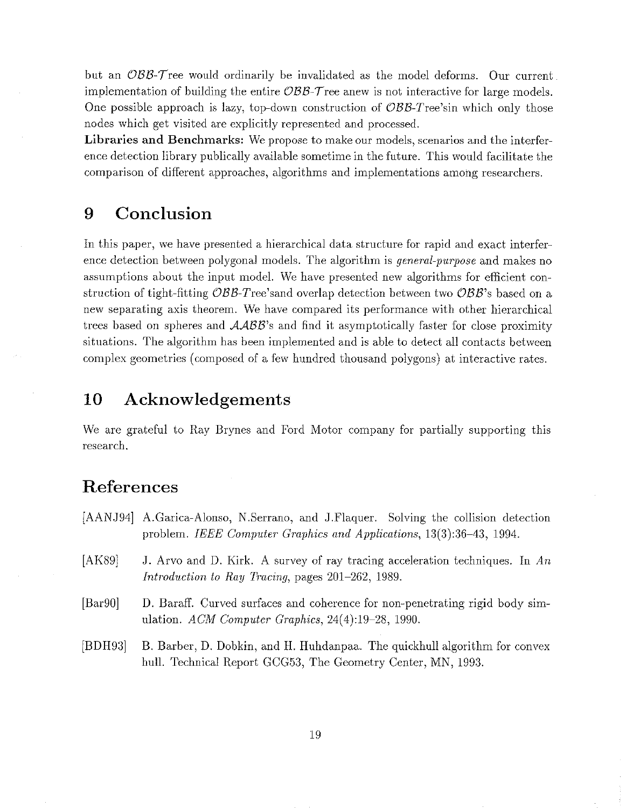but an *OBB-/ree* would ordinarily be invalidated as the model deforms. Our current implementation of building the entire  $\mathcal{OBB}\text{-}\mathcal{T}$  ree anew is not interactive for large models. One possible approach is lazy, top-down construction of *OBB-*Tree'sin which only those nodes which get visited are explicitly represented and processed.

**Libraries and Benchmarks:** We propose to make our models, scenarios and the interference detection library publically available sometime in the future. This would facilitate the comparison of different approaches, algorithms and implementations among researchers.

### **9 Conclusion**

In this paper, we have presented a hierarchical data structure for rapid and exact interference detection between polygonal models. The algorithm is *general-purpose* and makes no assumptions about the input model. We have presented new algorithms for efficient construction of tight-fitting OBB-Tree'sand overlap detection between two *OBB's* based on a new separating axis theorem. We have compared its performance with other hierarchical trees based on spheres and *AABB's* and find it asymptotically faster for close proximity situations. The algorithm has been implemented and is able to detect all contacts between complex geometries (composed of a few hundred thousand polygons) at interactive rates.

## **10 Acknowledgements**

We are grateful to Ray Brynes and Ford Motor company for partially supporting this research.

# **References**

- [AANJ94] A.Garica-Alonso, N.Serrano, and J.Flaquer. Solving the collision detection problem. *IEEE Computer Graphics and Applications,* 13(3):36-43, 1994.
- [AK89] **J.** Arvo and D. Kirk. A survey of ray tracing acceleration techniques. In *An Introduction to Ray Tracing,* pages 201-262, 1989.
- [Bar90] **D.** Baraff. Curved surfaces and coherence for non-penetrating rigid body simulation. *ACM Computer Graphics,* 24( 4):19-28, 1990.
- **[BDH93] B.** Barber, D. Dobkin, and **H.** Huhdanpaa. The quickhull algorithm for convex hull. Technical Report GCG53, The Geometry Center, MN, 1993.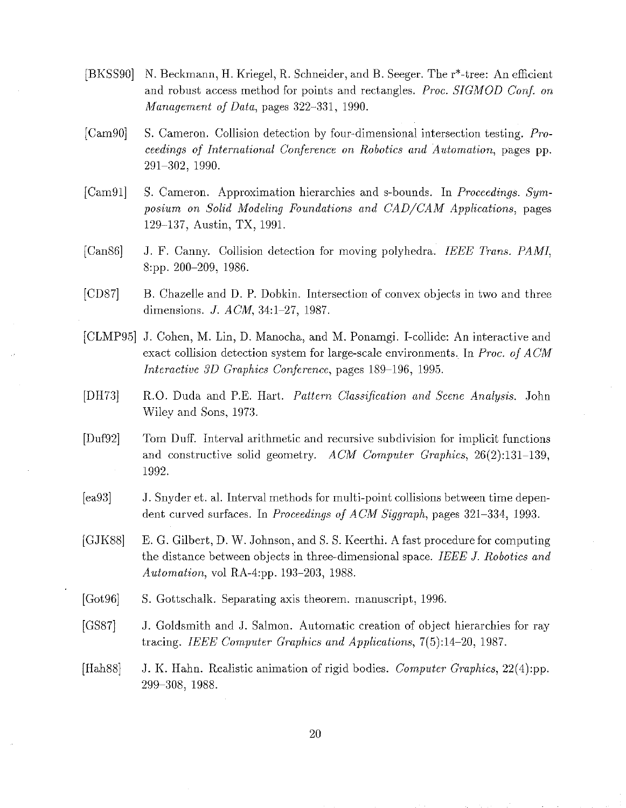- [BKSS90] N. Beckmann, H. Kriegel, R. Schneider, and B. Seeger. The r\* -tree: An efficient and robust access method for points and rectangles. *Proc. SIGMOD Conf. on Management of Data,* pages 322-331, 1990.
- (Cam90] S. Cameron. Collision detection by four-dimensional intersection testing. *Proceedings of International Conference on Robotics and Automation,* pages pp. 291-302, 1990.
- [Cam91] S. Cameron. Approximation hierarchies and s-bounds. In *Proceedings. Symposium on Solid Modeling Foundations and CAD/CAM Applications,* pages 129-137, Austin, TX, 1991.
- [Can86] J. F. Canny. Collision detection for moving polyhedra. *IEEE Trans. PAM!,*  8:pp. 200-209, 1986.
- [CD87] B. Chazelle and D. P. Dobkin. Intersection of convex objects in two and three dimensions. *J. ACM,* 34:1-27, 1987.
- [CLMP95] J. Cohen, M. Lin, D. Manocha, and M. Ponamgi. I-collide: An interactive and exact collision detection system for large-scale environments. In *Proc. of ACM Interactive 3D Graphics Conference,* pages 189-196, 1995.
- [DH73] R.O. Duda and P.E. Hart. *Pattern Classification and Scene Analysis*. John Wiley and Sons, 1973.
- [Duf92] Tom Duff. Interval arithmetic and recursive subdivision for implicit functions and constructive solid geometry. *ACM Computer Graphics,* 26(2):131-139, 1992.
- [ea93] J. Snyder et. al. Interval methods for multi-point collisions between time dependent curved surfaces. In *Proceedings of ACM Siggraph,* pages 321-334, 1993.
- [GJK88] E. G. Gilbert, D. W. Johnson, and S. S. Keerthi. A fast procedure for computing the distance between objects in three-dimensional space. *IEEE* J. *Robotics and Automation,* vol RA-4:pp. 193-203, 1988.
- [Got96] S. Gottschalk. Separating axis theorem. manuscript, 1996.
- [GS87] J. Goldsmith and J. Salmon. Automatic creation of object hierarchies for ray tracing. *IEEE Computer Graphics and Applications,* 7(5):14-20, 1987.
- [Hah88] J. K. Hahn. Realistic animation of rigid bodies. *Computer Graphics,* 22(4):pp. 299-308, 1988.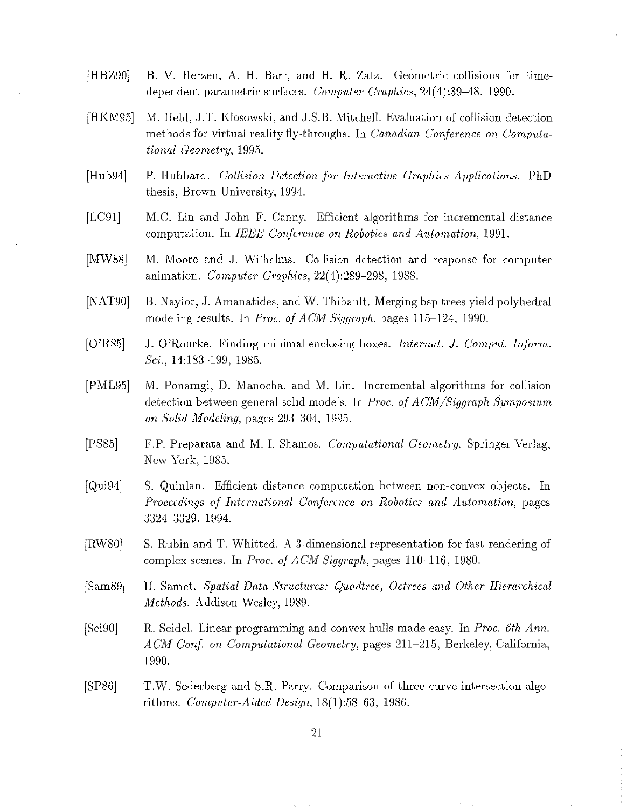- [HBZ90] B. V. Herzen, A. H. Barr, and H. R. Zatz. Geometric collisions for timedependent parametric surfaces. *Computer Graphics,* 24( 4):39-48, 1990.
- [HKM95] M. Held, J. T. Klosowski, and J .S.B. Mitchell. Evaluation of collision detection methods for virtual reality fly-throughs. In *Canadian Conference on Computational Geometry,* 1995.
- [Hub94] P. Hubbard. *Collision Detection for Interactive Graphics Applications.* PhD thesis, Brown University, 1994.
- [LC91] M.C. Lin and John F. Canny. Efficient algorithms for incremental distance computation. In *IEEE Conference on Robotics and Automation,* 1991.
- [MW88] M. Moore and J. Wilhelms. Collision detection and response for computer animation. *Computer Graphics,* 22(4):289-298, 1988.
- [NAT90] B. Naylor, J. Amanatides, and W. Thibault. Merging bsp trees yield polyhedral modeling results. In *Proc. of ACM Siggraph,* pages 115-124, 1990.
- [O'R85] J. O'Rourke. Finding minimal enclosing boxes. *Internal.* J. *Comput. Inform. Sci.,* 14:183-199, 1985.
- [PML95] M. Ponamgi, D. Manocha, and M. Lin. Incremental algorithms for collision detection between general solid models. In *Proc. of ACM/Siggraph Symposium on Solid Modeling,* pages 293-304, 1995.
- [PS85] F.P. Preparata and M. I. Shamos. *Computational Geometry.* Springer-Verlag, New York, 1985.
- [Qui94] S. Quinlan. Efficient distance computation between non-convex objects. In *Proceedings of International Conference on Robotics and Automation,* pages 3324-3329, 1994.
- [RW80] S. Rubin and T. Whitted. A 3-dimensional representation for fast rendering of complex scenes. In *Proc. of ACM Siggraph,* pages 110-116, 1980.
- [Sam89] H. Samet. *Spatial Data Structures: Quadtree, Octrees and Other Hierarchical Methods.* Addison Wesley, 1989.
- [Sei90] R. Seidel. Linear programming and convex hulls made easy. In *Proc. 6th Ann. ACM Conf. on Computational Geometry,* pages 211-215, Berkeley, California, 1990.
- [SP86] T.W. Sederberg and S.R. Parry. Comparison of three curve intersection algorithms. *Computer-Aided Design,* 18(1):58-63, 1986.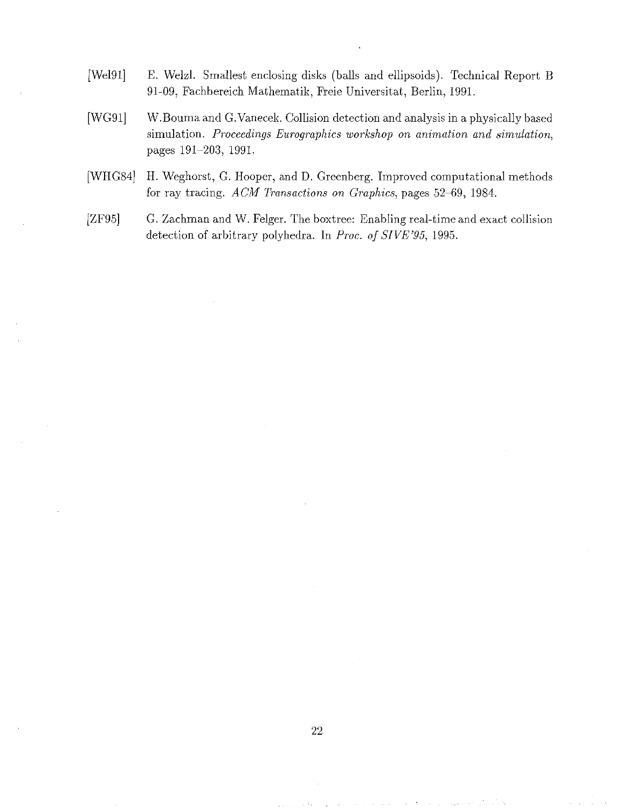- [Wel91] E. Welzl. Smallest enclosing disks (balls and ellipsoids). Technical Report B 91-09, Fachbereich Mathematik, Freie Universitat, Berlin, 1991.
- [WG91] W.Bouma and G.Vanecek. Collision detection and analysis in a physically based simulation. *Proceedings Eurographics workshop on animation and simulation,*  pages 191-203, 1991.
- [WHG84] H. Weghorst, G. Hooper, and D. Greenberg. Improved computational methods for ray tracing. *ACM Transactions on Graphics,* pages 52-69, 1984.
- [ZF95] G. Zachman and W. Felger. The boxtree: Enabling real-time and exact collision detection of arbitrary polyhedra. In *Proc. of SIVE'95,* 1995.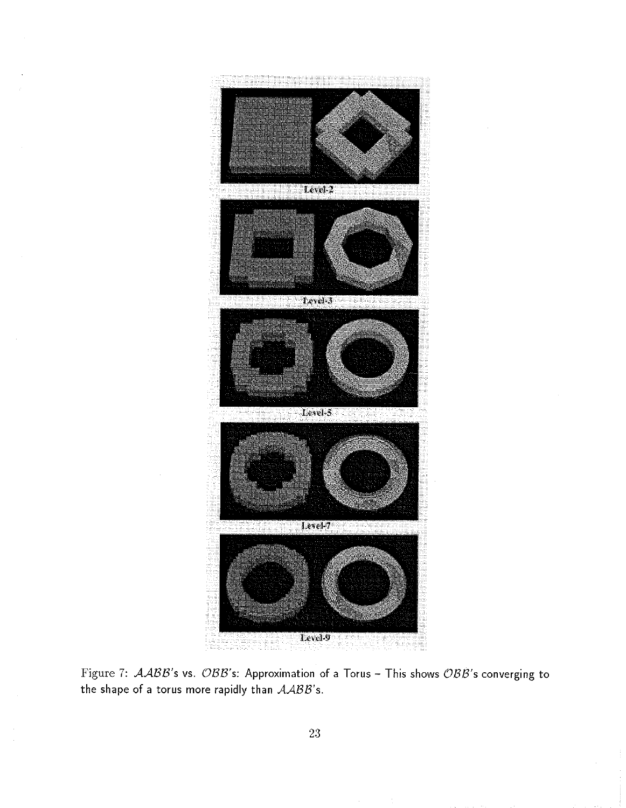

Figure 7: *AABB's* vs. *OBB's:* Approximation of a Torus- This shows *OBB's* converging to the shape of a torus more rapidly than *AABB's.*